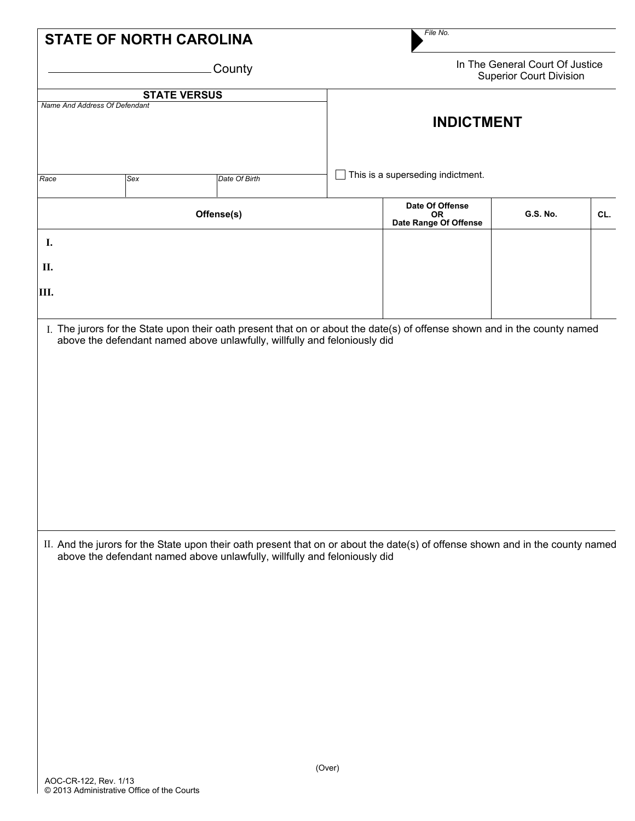| <b>STATE OF NORTH CAROLINA</b> |                               |                                                                                                                                |        | File No.                                                          |                 |     |  |  |  |
|--------------------------------|-------------------------------|--------------------------------------------------------------------------------------------------------------------------------|--------|-------------------------------------------------------------------|-----------------|-----|--|--|--|
| County                         |                               |                                                                                                                                |        | In The General Court Of Justice<br><b>Superior Court Division</b> |                 |     |  |  |  |
|                                |                               | <b>STATE VERSUS</b>                                                                                                            |        |                                                                   |                 |     |  |  |  |
|                                | Name And Address Of Defendant |                                                                                                                                |        | <b>INDICTMENT</b>                                                 |                 |     |  |  |  |
| Race                           | Sex                           | Date Of Birth                                                                                                                  |        | This is a superseding indictment.                                 |                 |     |  |  |  |
|                                |                               |                                                                                                                                |        | Date Of Offense                                                   |                 |     |  |  |  |
|                                |                               | Offense(s)                                                                                                                     |        | OR.<br>Date Range Of Offense                                      | <b>G.S. No.</b> | CL. |  |  |  |
| I.                             |                               |                                                                                                                                |        |                                                                   |                 |     |  |  |  |
| П.                             |                               |                                                                                                                                |        |                                                                   |                 |     |  |  |  |
| IШ.                            |                               |                                                                                                                                |        |                                                                   |                 |     |  |  |  |
|                                |                               |                                                                                                                                |        |                                                                   |                 |     |  |  |  |
|                                |                               | II. And the jurors for the State upon their oath present that on or about the date(s) of offense shown and in the county named |        |                                                                   |                 |     |  |  |  |
|                                |                               | above the defendant named above unlawfully, willfully and feloniously did                                                      |        |                                                                   |                 |     |  |  |  |
|                                |                               |                                                                                                                                |        |                                                                   |                 |     |  |  |  |
|                                |                               |                                                                                                                                |        |                                                                   |                 |     |  |  |  |
|                                |                               |                                                                                                                                |        |                                                                   |                 |     |  |  |  |
|                                |                               |                                                                                                                                |        |                                                                   |                 |     |  |  |  |
|                                |                               |                                                                                                                                |        |                                                                   |                 |     |  |  |  |
|                                |                               |                                                                                                                                |        |                                                                   |                 |     |  |  |  |
|                                |                               |                                                                                                                                |        |                                                                   |                 |     |  |  |  |
|                                |                               |                                                                                                                                |        |                                                                   |                 |     |  |  |  |
|                                |                               |                                                                                                                                | (Over) |                                                                   |                 |     |  |  |  |